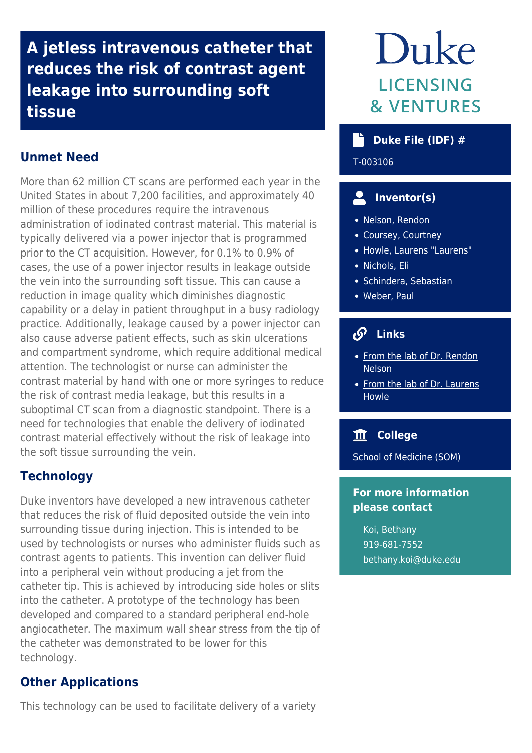**A jetless intravenous catheter that reduces the risk of contrast agent leakage into surrounding soft tissue**

# **Unmet Need**

More than 62 million CT scans are performed each year in the United States in about 7,200 facilities, and approximately 40 million of these procedures require the intravenous administration of iodinated contrast material. This material is typically delivered via a power injector that is programmed prior to the CT acquisition. However, for 0.1% to 0.9% of cases, the use of a power injector results in leakage outside the vein into the surrounding soft tissue. This can cause a reduction in image quality which diminishes diagnostic capability or a delay in patient throughput in a busy radiology practice. Additionally, leakage caused by a power injector can also cause adverse patient effects, such as skin ulcerations and compartment syndrome, which require additional medical attention. The technologist or nurse can administer the contrast material by hand with one or more syringes to reduce the risk of contrast media leakage, but this results in a suboptimal CT scan from a diagnostic standpoint. There is a need for technologies that enable the delivery of iodinated contrast material effectively without the risk of leakage into the soft tissue surrounding the vein.

## **Technology**

Duke inventors have developed a new intravenous catheter that reduces the risk of fluid deposited outside the vein into surrounding tissue during injection. This is intended to be used by technologists or nurses who administer fluids such as contrast agents to patients. This invention can deliver fluid into a peripheral vein without producing a jet from the catheter tip. This is achieved by introducing side holes or slits into the catheter. A prototype of the technology has been developed and compared to a standard peripheral end-hole angiocatheter. The maximum wall shear stress from the tip of the catheter was demonstrated to be lower for this technology.

## **Other Applications**

This technology can be used to facilitate delivery of a variety

# Duke **LICENSING & VENTURES**

## **b** Duke File (IDF) #

T-003106

# **Inventor(s)**

- Nelson, Rendon
- Coursey, Courtney
- Howle, Laurens "Laurens"
- · Nichols, Eli
- Schindera, Sebastian
- Weber, Paul

# **Links**

- [From the lab of Dr. Rendon](https://mems.duke.edu/faculty/rendon-nelson) **[Nelson](https://mems.duke.edu/faculty/rendon-nelson)**
- [From the lab of Dr. Laurens](https://urldefense.com/v3/__http:/www.bellequant.com__;!!OToaGQ!_g-KgoqNi5voiiG-j613kPx6DWaoCyTi_CAN0AXCO6Lxd8x-jrCRQwrOInqKhvNXJOc$) **[Howle](https://urldefense.com/v3/__http:/www.bellequant.com__;!!OToaGQ!_g-KgoqNi5voiiG-j613kPx6DWaoCyTi_CAN0AXCO6Lxd8x-jrCRQwrOInqKhvNXJOc$)**

## **College**

School of Medicine (SOM)

#### **For more information please contact**

Koi, Bethany 919-681-7552 [bethany.koi@duke.edu](mailto:bethany.koi@duke.edu)